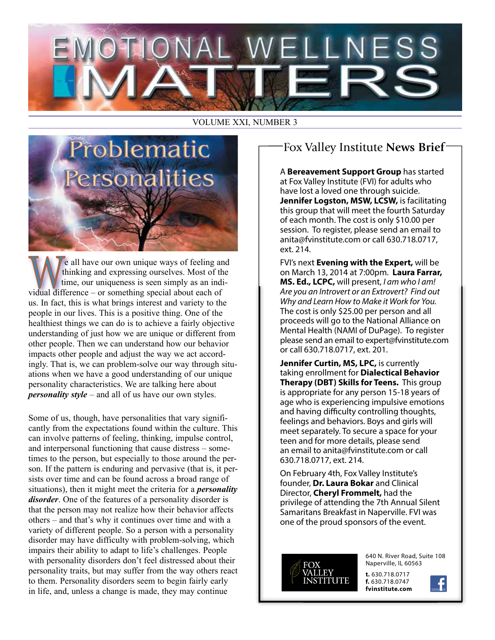# . WELLNES

## VOLUME XXI, NUMBER 3



e all have our own unique ways of feeling and thinking and expressing ourselves. Most of the time, our uniqueness is seen simply as an individual difference – or something special about each of us. In fact, this is what brings interest and variety to the people in our lives. This is a positive thing. One of the healthiest things we can do is to achieve a fairly objective understanding of just how we are unique or different from other people. Then we can understand how our behavior impacts other people and adjust the way we act accordingly. That is, we can problem-solve our way through situations when we have a good understanding of our unique personality characteristics. We are talking here about *personality style* – and all of us have our own styles.

Some of us, though, have personalities that vary significantly from the expectations found within the culture. This can involve patterns of feeling, thinking, impulse control, and interpersonal functioning that cause distress – sometimes to the person, but especially to those around the person. If the pattern is enduring and pervasive (that is, it persists over time and can be found across a broad range of situations), then it might meet the criteria for a *personality disorder*. One of the features of a personality disorder is that the person may not realize how their behavior affects others – and that's why it continues over time and with a variety of different people. So a person with a personality disorder may have difficulty with problem-solving, which impairs their ability to adapt to life's challenges. People with personality disorders don't feel distressed about their personality traits, but may suffer from the way others react to them. Personality disorders seem to begin fairly early in life, and, unless a change is made, they may continue

# Fox Valley Institute **News Brief**

A **Bereavement Support Group** has started at Fox Valley Institute (FVI) for adults who have lost a loved one through suicide. **Jennifer Logston, MSW, LCSW,** is facilitating this group that will meet the fourth Saturday of each month. The cost is only \$10.00 per session. To register, please send an email to anita@fvinstitute.com or call 630.718.0717, ext. 214.

FVI's next **Evening with the Expert,** will be on March 13, 2014 at 7:00pm. **Laura Farrar, MS. Ed., LCPC,** will present, *I am who I am! Are you an Introvert or an Extrovert? Find out Why and Learn How to Make it Work for You.* The cost is only \$25.00 per person and all proceeds will go to the National Alliance on Mental Health (NAMI of DuPage). To register please send an email to expert@fvinstitute.com or call 630.718.0717, ext. 201.

**Jennifer Curtin, MS, LPC,** is currently taking enrollment for **Dialectical Behavior Therapy (DBT) Skills for Teens.** This group is appropriate for any person 15-18 years of age who is experiencing impulsive emotions and having difficulty controlling thoughts, feelings and behaviors. Boys and girls will meet separately. To secure a space for your teen and for more details, please send an email to anita@fvinstitute.com or call 630.718.0717, ext. 214.

On February 4th, Fox Valley Institute's founder, **Dr. Laura Bokar** and Clinical Director, **Cheryl Frommelt,** had the privilege of attending the 7th Annual Silent Samaritans Breakfast in Naperville. FVI was one of the proud sponsors of the event.



640 N. River Road, Suite 108 Naperville, IL 60563

**t.** 630.718.0717 **f.** 630.718.0747 **fvinstitute.com**

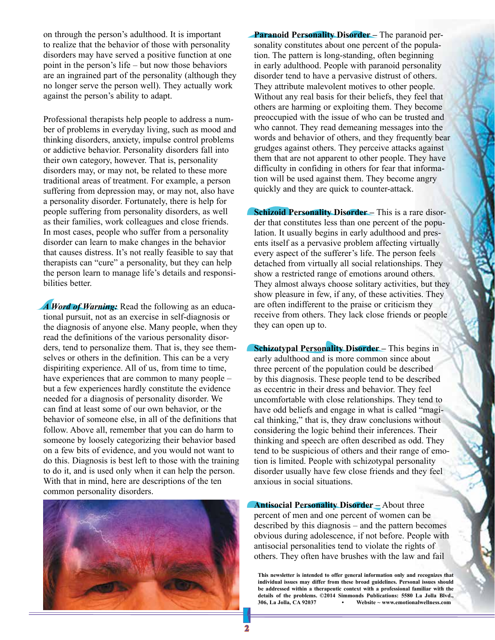on through the person's adulthood. It is important to realize that the behavior of those with personality disorders may have served a positive function at one point in the person's life – but now those behaviors are an ingrained part of the personality (although they no longer serve the person well). They actually work against the person's ability to adapt.

Professional therapists help people to address a number of problems in everyday living, such as mood and thinking disorders, anxiety, impulse control problems or addictive behavior. Personality disorders fall into their own category, however. That is, personality disorders may, or may not, be related to these more traditional areas of treatment. For example, a person suffering from depression may, or may not, also have a personality disorder. Fortunately, there is help for people suffering from personality disorders, as well as their families, work colleagues and close friends. In most cases, people who suffer from a personality disorder can learn to make changes in the behavior that causes distress. It's not really feasible to say that therapists can "cure" a personality, but they can help the person learn to manage life's details and responsibilities better.

*A Word of Warning:* Read the following as an educational pursuit, not as an exercise in self-diagnosis or the diagnosis of anyone else. Many people, when they read the definitions of the various personality disorders, tend to personalize them. That is, they see themselves or others in the definition. This can be a very dispiriting experience. All of us, from time to time, have experiences that are common to many people – but a few experiences hardly constitute the evidence needed for a diagnosis of personality disorder. We can find at least some of our own behavior, or the behavior of someone else, in all of the definitions that follow. Above all, remember that you can do harm to someone by loosely categorizing their behavior based on a few bits of evidence, and you would not want to do this. Diagnosis is best left to those with the training to do it, and is used only when it can help the person. With that in mind, here are descriptions of the ten common personality disorders.



**Paranoid Personality Disorder –** The paranoid personality constitutes about one percent of the population. The pattern is long-standing, often beginning in early adulthood. People with paranoid personality disorder tend to have a pervasive distrust of others. They attribute malevolent motives to other people. Without any real basis for their beliefs, they feel that others are harming or exploiting them. They become preoccupied with the issue of who can be trusted and who cannot. They read demeaning messages into the words and behavior of others, and they frequently bear grudges against others. They perceive attacks against them that are not apparent to other people. They have difficulty in confiding in others for fear that information will be used against them. They become angry quickly and they are quick to counter-attack.

**Schizoid Personality Disorder** – This is a rare disorder that constitutes less than one percent of the population. It usually begins in early adulthood and presents itself as a pervasive problem affecting virtually every aspect of the sufferer's life. The person feels detached from virtually all social relationships. They show a restricted range of emotions around others. They almost always choose solitary activities, but they show pleasure in few, if any, of these activities. They are often indifferent to the praise or criticism they receive from others. They lack close friends or people they can open up to.

**Schizotypal Personality Disorder** – This begins in early adulthood and is more common since about three percent of the population could be described by this diagnosis. These people tend to be described as eccentric in their dress and behavior. They feel uncomfortable with close relationships. They tend to have odd beliefs and engage in what is called "magical thinking," that is, they draw conclusions without considering the logic behind their inferences. Their thinking and speech are often described as odd. They tend to be suspicious of others and their range of emotion is limited. People with schizotypal personality disorder usually have few close friends and they feel anxious in social situations.

**Antisocial Personality Disorder –** About three percent of men and one percent of women can be described by this diagnosis – and the pattern becomes obvious during adolescence, if not before. People with antisocial personalities tend to violate the rights of others. They often have brushes with the law and fail

**This newsletter is intended to offer general information only and recognizes that individual issues may differ from these broad guidelines. Personal issues should be addressed within a therapeutic context with a professional familiar with the**  details of the problems. ©2014 Simmonds Publications: 5580 La Jolla Blvd., <br>306. La Jolla. CA 92037 **··** Website ~ www.emotionalwellness.com **306, La Jolla, CA 92037 • Website ~ www.emotionalwellness.com**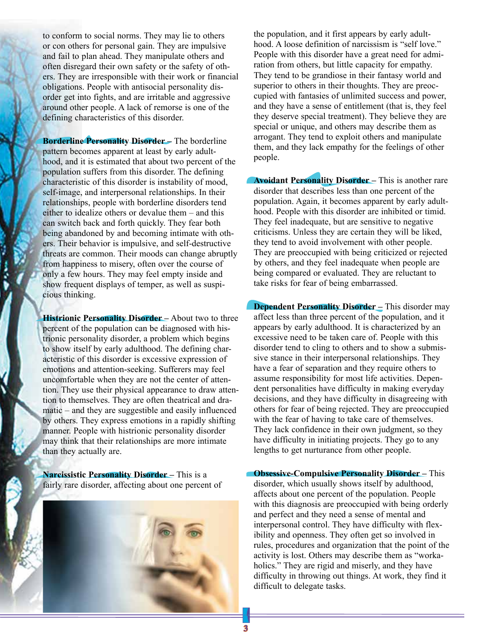to conform to social norms. They may lie to others or con others for personal gain. They are impulsive and fail to plan ahead. They manipulate others and often disregard their own safety or the safety of others. They are irresponsible with their work or financial obligations. People with antisocial personality disorder get into fights, and are irritable and aggressive around other people. A lack of remorse is one of the defining characteristics of this disorder.

**Borderline Personality Disorder –** The borderline pattern becomes apparent at least by early adulthood, and it is estimated that about two percent of the population suffers from this disorder. The defining characteristic of this disorder is instability of mood, self-image, and interpersonal relationships. In their relationships, people with borderline disorders tend either to idealize others or devalue them – and this can switch back and forth quickly. They fear both being abandoned by and becoming intimate with others. Their behavior is impulsive, and self-destructive threats are common. Their moods can change abruptly from happiness to misery, often over the course of only a few hours. They may feel empty inside and show frequent displays of temper, as well as suspicious thinking.

**Histrionic Personality Disorder –** About two to three percent of the population can be diagnosed with histrionic personality disorder, a problem which begins to show itself by early adulthood. The defining characteristic of this disorder is excessive expression of emotions and attention-seeking. Sufferers may feel uncomfortable when they are not the center of attention. They use their physical appearance to draw attention to themselves. They are often theatrical and dramatic – and they are suggestible and easily influenced by others. They express emotions in a rapidly shifting manner. People with histrionic personality disorder may think that their relationships are more intimate than they actually are.

**Narcissistic Personality Disorder –** This is a fairly rare disorder, affecting about one percent of



the population, and it first appears by early adulthood. A loose definition of narcissism is "self love." People with this disorder have a great need for admiration from others, but little capacity for empathy. They tend to be grandiose in their fantasy world and superior to others in their thoughts. They are preoccupied with fantasies of unlimited success and power, and they have a sense of entitlement (that is, they feel they deserve special treatment). They believe they are special or unique, and others may describe them as arrogant. They tend to exploit others and manipulate them, and they lack empathy for the feelings of other people.

**Avoidant Personality Disorder –** This is another rare disorder that describes less than one percent of the population. Again, it becomes apparent by early adulthood. People with this disorder are inhibited or timid. They feel inadequate, but are sensitive to negative criticisms. Unless they are certain they will be liked, they tend to avoid involvement with other people. They are preoccupied with being criticized or rejected by others, and they feel inadequate when people are being compared or evaluated. They are reluctant to take risks for fear of being embarrassed.

**Dependent Personality Disorder –** This disorder may affect less than three percent of the population, and it appears by early adulthood. It is characterized by an excessive need to be taken care of. People with this disorder tend to cling to others and to show a submissive stance in their interpersonal relationships. They have a fear of separation and they require others to assume responsibility for most life activities. Dependent personalities have difficulty in making everyday decisions, and they have difficulty in disagreeing with others for fear of being rejected. They are preoccupied with the fear of having to take care of themselves. They lack confidence in their own judgment, so they have difficulty in initiating projects. They go to any lengths to get nurturance from other people.

**Obsessive-Compulsive Personality Disorder –** This disorder, which usually shows itself by adulthood, affects about one percent of the population. People with this diagnosis are preoccupied with being orderly and perfect and they need a sense of mental and interpersonal control. They have difficulty with flexibility and openness. They often get so involved in rules, procedures and organization that the point of the activity is lost. Others may describe them as "workaholics." They are rigid and miserly, and they have difficulty in throwing out things. At work, they find it difficult to delegate tasks.